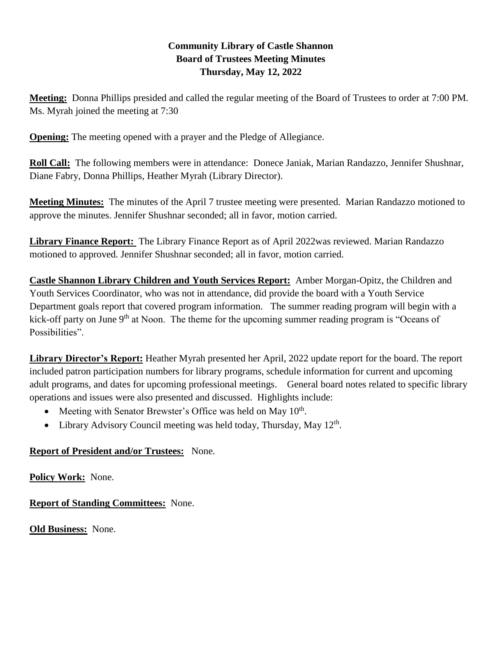# **Community Library of Castle Shannon Board of Trustees Meeting Minutes Thursday, May 12, 2022**

**Meeting:** Donna Phillips presided and called the regular meeting of the Board of Trustees to order at 7:00 PM. Ms. Myrah joined the meeting at 7:30

**Opening:** The meeting opened with a prayer and the Pledge of Allegiance.

**Roll Call:** The following members were in attendance: Donece Janiak, Marian Randazzo, Jennifer Shushnar, Diane Fabry, Donna Phillips, Heather Myrah (Library Director).

**Meeting Minutes:** The minutes of the April 7 trustee meeting were presented. Marian Randazzo motioned to approve the minutes. Jennifer Shushnar seconded; all in favor, motion carried.

**Library Finance Report:** The Library Finance Report as of April 2022was reviewed. Marian Randazzo motioned to approved. Jennifer Shushnar seconded; all in favor, motion carried.

**Castle Shannon Library Children and Youth Services Report:** Amber Morgan-Opitz, the Children and Youth Services Coordinator, who was not in attendance, did provide the board with a Youth Service Department goals report that covered program information. The summer reading program will begin with a kick-off party on June 9<sup>th</sup> at Noon. The theme for the upcoming summer reading program is "Oceans of Possibilities".

**Library Director's Report:** Heather Myrah presented her April, 2022 update report for the board. The report included patron participation numbers for library programs, schedule information for current and upcoming adult programs, and dates for upcoming professional meetings. General board notes related to specific library operations and issues were also presented and discussed. Highlights include:

- Meeting with Senator Brewster's Office was held on May 10<sup>th</sup>.
- Library Advisory Council meeting was held today, Thursday, May 12<sup>th</sup>.

# **Report of President and/or Trustees:** None.

**Policy Work:** None.

**Report of Standing Committees:** None.

**Old Business:** None.